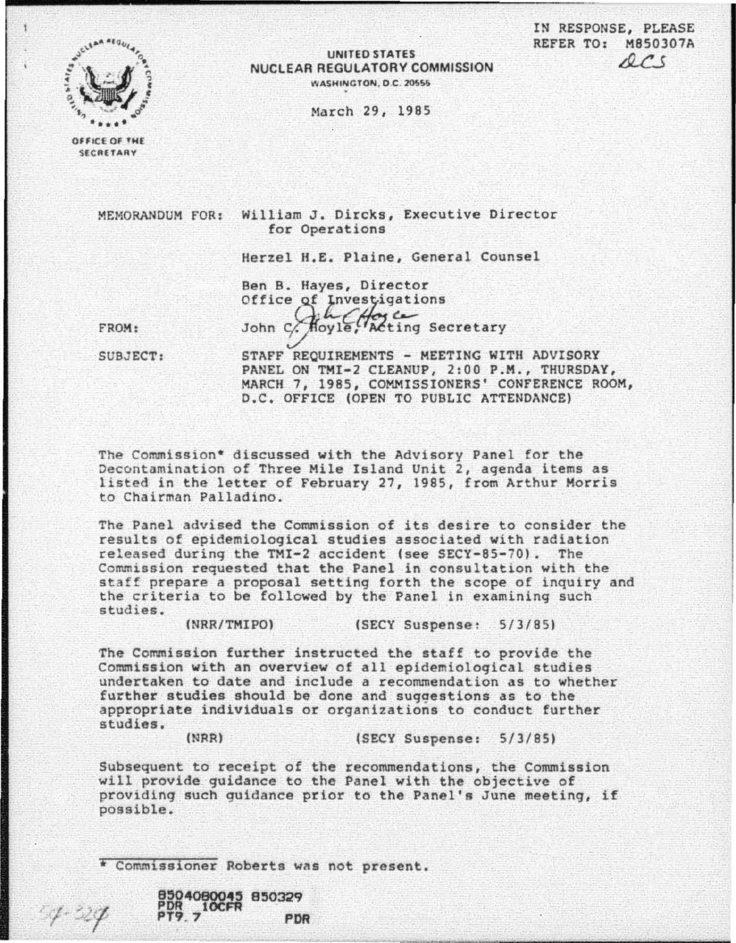IN RESPONSE, PLEASE REFER TO: M850307A  $0<$ 



## UNITED STATES NUCLEAR REGULATORY COMMISSION WASHINGTON, D.C. 20555

Harch 29, 1985

OFFICE OF THE SECRETARY

MEMORANDUM FOR: William J. Dircks, Executive Director for Operations

Herzel H,E. Plaine, General Counsel

Ben B. Hayes, Director Office of Investigations John c. Hoyle, Tacting Secretary

FROM:

 $4.24$ 

SUBJ ECT:

STAFF REQUIREMENTS - MEETING WITH ADVISORY PANEL ON TMI-2 CLEANUP, *2:00* P.M., THURSDAY, MARCH 7, 1985, COMMISSIONERS' CONFERENCE ROOM, D.C. OFFICE (OPEN TO PUBLIC ATTENDANCE)

The Commission\* discussed with the Advisory Panel for the<br>Decontamination of Three Mile Island Unit 2, agenda items as listed in the letter of February 27, 1985, from Arthur Morris to Chairman Palladino.

The Panel advised the Commission of its desire to consider the results of epidemiological studies associated with radiation released during the TMI-2 accident (see SECY-85-70). The Commission requested that the Panel in consultation with the staff prepare a proposal setting forth the scope of inquiry and the criteria to be followed by the Panel in examining such studies.

(NRR/TMIPO) (SECY Suspense: 5/3/85)

The Commission further instructed the staff to provide the Commission with an overview of all epidemiological studies undertaken to date and include a recommendation as to whether further studies should be done and suggestions as to the appropriate individuals or organizations to conduct further studies,

INRRl (SECY Suspense: 5/3/85)

PDR

Subsequent to receipt of the recommendations, the Commission will provide guidance to the Panel with the objective of providing such guidance prior to the Panel's June meeting, if possible.

\* Commissioner Roberts wns not present •

8504080045 850329

8504080045<br>PDR 10CFR<br>PT9.7